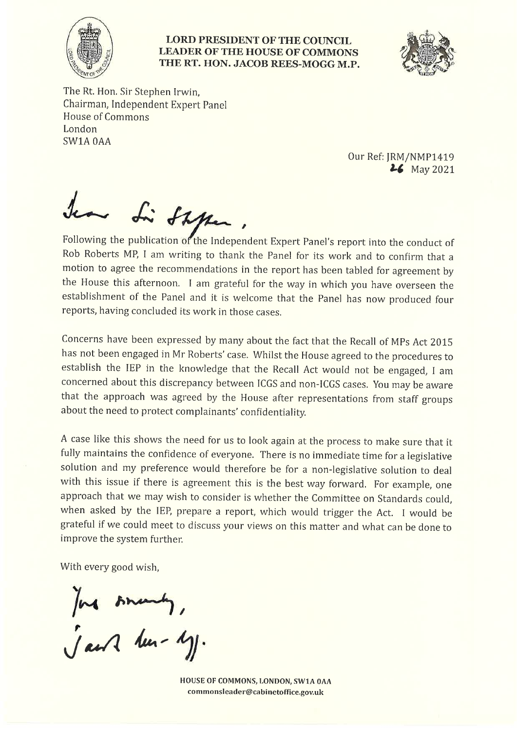

## **LORD PRESIDENT OF THE COUNCIL LEADER OF THE HOUSE OF COMMONS** THE RT. HON. JACOB REES-MOGG M.P.



The Rt. Hon. Sir Stephen Irwin, Chairman, Independent Expert Panel **House of Commons** London SW1A0AA

> Our Ref: JRM/NMP1419 **26** May 2021

a Li Shken

Following the publication of the Independent Expert Panel's report into the conduct of Rob Roberts MP, I am writing to thank the Panel for its work and to confirm that a motion to agree the recommendations in the report has been tabled for agreement by the House this afternoon. I am grateful for the way in which you have overseen the establishment of the Panel and it is welcome that the Panel has now produced four reports, having concluded its work in those cases.

Concerns have been expressed by many about the fact that the Recall of MPs Act 2015 has not been engaged in Mr Roberts' case. Whilst the House agreed to the procedures to establish the IEP in the knowledge that the Recall Act would not be engaged, I am concerned about this discrepancy between ICGS and non-ICGS cases. You may be aware that the approach was agreed by the House after representations from staff groups about the need to protect complainants' confidentiality.

A case like this shows the need for us to look again at the process to make sure that it fully maintains the confidence of everyone. There is no immediate time for a legislative solution and my preference would therefore be for a non-legislative solution to deal with this issue if there is agreement this is the best way forward. For example, one approach that we may wish to consider is whether the Committee on Standards could, when asked by the IEP, prepare a report, which would trigger the Act. I would be grateful if we could meet to discuss your views on this matter and what can be done to improve the system further.

With every good wish.

Jack smarty,

HOUSE OF COMMONS, LONDON, SW1A 0AA commonsleader@cabinetoffice.gov.uk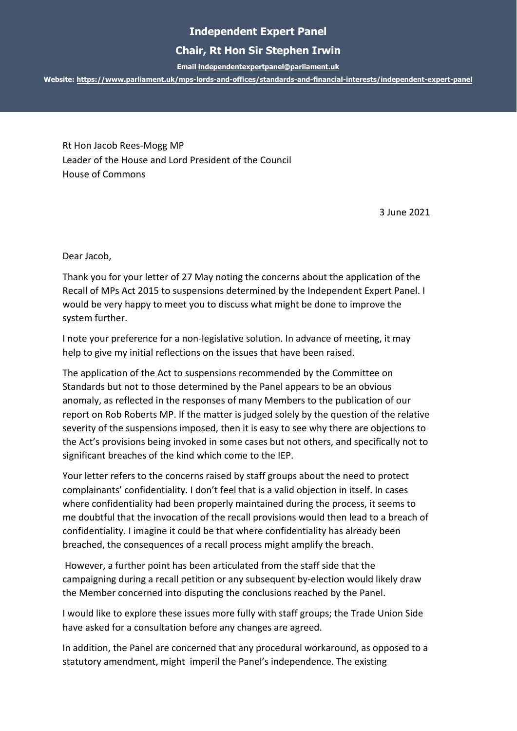## **Independent Expert Panel**

## **Chair, Rt Hon Sir Stephen Irwin**

**Emai[l independentexpertpanel@parliament.uk](mailto:independentexpertpanel@parliament.uk)**

**Website:<https://www.parliament.uk/mps-lords-and-offices/standards-and-financial-interests/independent-expert-panel>**

Rt Hon Jacob Rees-Mogg MP Leader of the House and Lord President of the Council House of Commons

3 June 2021

Dear Jacob,

Thank you for your letter of 27 May noting the concerns about the application of the Recall of MPs Act 2015 to suspensions determined by the Independent Expert Panel. I would be very happy to meet you to discuss what might be done to improve the system further.

I note your preference for a non-legislative solution. In advance of meeting, it may help to give my initial reflections on the issues that have been raised.

The application of the Act to suspensions recommended by the Committee on Standards but not to those determined by the Panel appears to be an obvious anomaly, as reflected in the responses of many Members to the publication of our report on Rob Roberts MP. If the matter is judged solely by the question of the relative severity of the suspensions imposed, then it is easy to see why there are objections to the Act's provisions being invoked in some cases but not others, and specifically not to significant breaches of the kind which come to the IEP.

Your letter refers to the concerns raised by staff groups about the need to protect complainants' confidentiality. I don't feel that is a valid objection in itself. In cases where confidentiality had been properly maintained during the process, it seems to me doubtful that the invocation of the recall provisions would then lead to a breach of confidentiality. I imagine it could be that where confidentiality has already been breached, the consequences of a recall process might amplify the breach.

However, a further point has been articulated from the staff side that the campaigning during a recall petition or any subsequent by-election would likely draw the Member concerned into disputing the conclusions reached by the Panel.

I would like to explore these issues more fully with staff groups; the Trade Union Side have asked for a consultation before any changes are agreed.

In addition, the Panel are concerned that any procedural workaround, as opposed to a statutory amendment, might imperil the Panel's independence. The existing